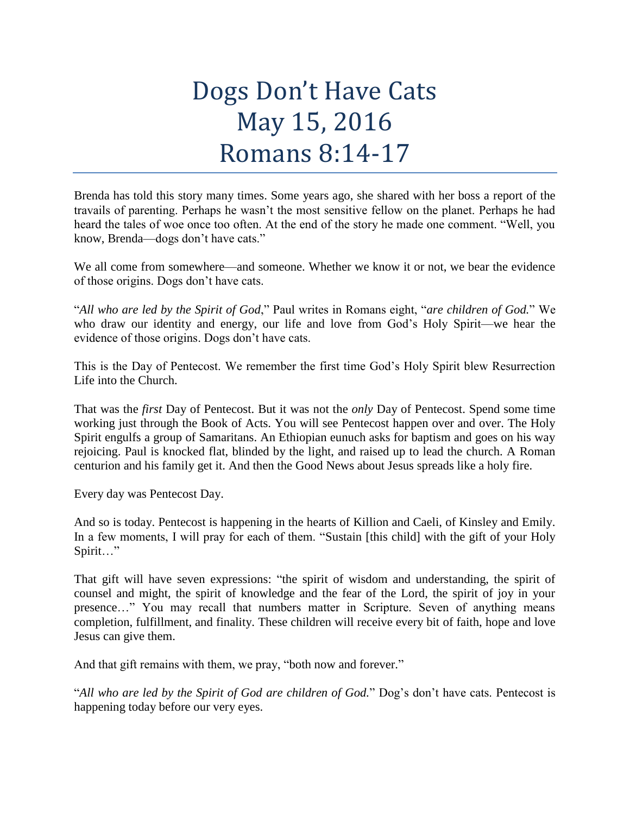## Dogs Don't Have Cats May 15, 2016 Romans 8:14-17

Brenda has told this story many times. Some years ago, she shared with her boss a report of the travails of parenting. Perhaps he wasn't the most sensitive fellow on the planet. Perhaps he had heard the tales of woe once too often. At the end of the story he made one comment. "Well, you know, Brenda—dogs don't have cats."

We all come from somewhere—and someone. Whether we know it or not, we bear the evidence of those origins. Dogs don't have cats.

"*All who are led by the Spirit of God*," Paul writes in Romans eight, "*are children of God.*" We who draw our identity and energy, our life and love from God's Holy Spirit—we hear the evidence of those origins. Dogs don't have cats.

This is the Day of Pentecost. We remember the first time God's Holy Spirit blew Resurrection Life into the Church.

That was the *first* Day of Pentecost. But it was not the *only* Day of Pentecost. Spend some time working just through the Book of Acts. You will see Pentecost happen over and over. The Holy Spirit engulfs a group of Samaritans. An Ethiopian eunuch asks for baptism and goes on his way rejoicing. Paul is knocked flat, blinded by the light, and raised up to lead the church. A Roman centurion and his family get it. And then the Good News about Jesus spreads like a holy fire.

Every day was Pentecost Day.

And so is today. Pentecost is happening in the hearts of Killion and Caeli, of Kinsley and Emily. In a few moments, I will pray for each of them. "Sustain [this child] with the gift of your Holy Spirit…"

That gift will have seven expressions: "the spirit of wisdom and understanding, the spirit of counsel and might, the spirit of knowledge and the fear of the Lord, the spirit of joy in your presence…" You may recall that numbers matter in Scripture. Seven of anything means completion, fulfillment, and finality. These children will receive every bit of faith, hope and love Jesus can give them.

And that gift remains with them, we pray, "both now and forever."

"*All who are led by the Spirit of God are children of God.*" Dog's don't have cats. Pentecost is happening today before our very eyes.